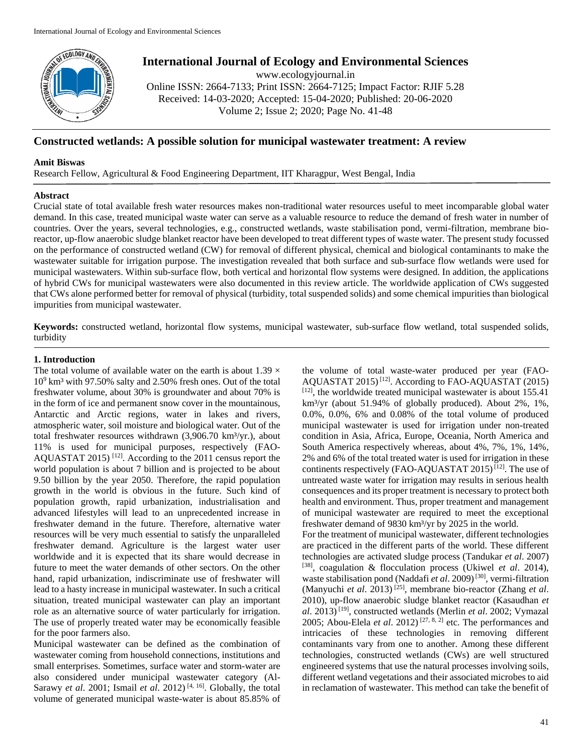

# **International Journal of Ecology and Environmental Sciences**

www.ecologyjournal.in Online ISSN: 2664-7133; Print ISSN: 2664-7125; Impact Factor: RJIF 5.28 Received: 14-03-2020; Accepted: 15-04-2020; Published: 20-06-2020 Volume 2; Issue 2; 2020; Page No. 41-48

# **Constructed wetlands: A possible solution for municipal wastewater treatment: A review**

## **Amit Biswas**

Research Fellow, Agricultural & Food Engineering Department, IIT Kharagpur, West Bengal, India

## **Abstract**

Crucial state of total available fresh water resources makes non-traditional water resources useful to meet incomparable global water demand. In this case, treated municipal waste water can serve as a valuable resource to reduce the demand of fresh water in number of countries. Over the years, several technologies, e.g., constructed wetlands, waste stabilisation pond, vermi-filtration, membrane bioreactor, up-flow anaerobic sludge blanket reactor have been developed to treat different types of waste water. The present study focussed on the performance of constructed wetland (CW) for removal of different physical, chemical and biological contaminants to make the wastewater suitable for irrigation purpose. The investigation revealed that both surface and sub-surface flow wetlands were used for municipal wastewaters. Within sub-surface flow, both vertical and horizontal flow systems were designed. In addition, the applications of hybrid CWs for municipal wastewaters were also documented in this review article. The worldwide application of CWs suggested that CWs alone performed better for removal of physical (turbidity, total suspended solids) and some chemical impurities than biological impurities from municipal wastewater.

**Keywords:** constructed wetland, horizontal flow systems, municipal wastewater, sub-surface flow wetland, total suspended solids, turbidity

## **1. Introduction**

The total volume of available water on the earth is about  $1.39 \times$  $10^9$  km<sup>3</sup> with 97.50% salty and 2.50% fresh ones. Out of the total freshwater volume, about 30% is groundwater and about 70% is in the form of ice and permanent snow cover in the mountainous, Antarctic and Arctic regions, water in lakes and rivers, atmospheric water, soil moisture and biological water. Out of the total freshwater resources withdrawn  $(3,906.70 \text{ km}^3/\text{yr})$ , about 11% is used for municipal purposes, respectively (FAO-AQUASTAT 2015) [12]. According to the 2011 census report the world population is about 7 billion and is projected to be about 9.50 billion by the year 2050. Therefore, the rapid population growth in the world is obvious in the future. Such kind of population growth, rapid urbanization, industrialisation and advanced lifestyles will lead to an unprecedented increase in freshwater demand in the future. Therefore, alternative water resources will be very much essential to satisfy the unparalleled freshwater demand. Agriculture is the largest water user worldwide and it is expected that its share would decrease in future to meet the water demands of other sectors. On the other hand, rapid urbanization, indiscriminate use of freshwater will lead to a hasty increase in municipal wastewater. In such a critical situation, treated municipal wastewater can play an important role as an alternative source of water particularly for irrigation. The use of properly treated water may be economically feasible for the poor farmers also.

Municipal wastewater can be defined as the combination of wastewater coming from household connections, institutions and small enterprises. Sometimes, surface water and storm-water are also considered under municipal wastewater category (Al-Sarawy *et al.* 2001; Ismail *et al.* 2012)<sup>[4, 16]</sup>. Globally, the total volume of generated municipal waste-water is about 85.85% of

the volume of total waste-water produced per year (FAO-AQUASTAT 2015)[12]. According to FAO-AQUASTAT (2015)  $[12]$ , the worldwide treated municipal wastewater is about 155.41 km<sup>3</sup>/yr (about 51.94% of globally produced). About 2%, 1%, 0.0%, 0.0%, 6% and 0.08% of the total volume of produced municipal wastewater is used for irrigation under non-treated condition in Asia, Africa, Europe, Oceania, North America and South America respectively whereas, about 4%, 7%, 1%, 14%, 2% and 6% of the total treated water is used for irrigation in these continents respectively (FAO-AQUASTAT 2015)<sup>[12]</sup>. The use of untreated waste water for irrigation may results in serious health consequences and its proper treatment is necessary to protect both health and environment. Thus, proper treatment and management of municipal wastewater are required to meet the exceptional freshwater demand of 9830 km<sup>3</sup>/yr by 2025 in the world.

For the treatment of municipal wastewater, different technologies are practiced in the different parts of the world. These different technologies are activated sludge process (Tandukar *et al*. 2007) [38], coagulation & flocculation process (Ukiwel *et al*. 2014), waste stabilisation pond (Naddafi *et al.* 2009)<sup>[30]</sup>, vermi-filtration (Manyuchi *et al*. 2013) [25], membrane bio-reactor (Zhang *et al*. 2010), up-flow anaerobic sludge blanket reactor (Kasaudhan *et al*. 2013) [19], constructed wetlands (Merlin *et al*. 2002; Vymazal 2005; Abou-Elela *et al*. 2012) [27, 8, 2] etc. The performances and intricacies of these technologies in removing different contaminants vary from one to another. Among these different technologies, constructed wetlands (CWs) are well structured engineered systems that use the natural processes involving soils, different wetland vegetations and their associated microbes to aid in reclamation of wastewater. This method can take the benefit of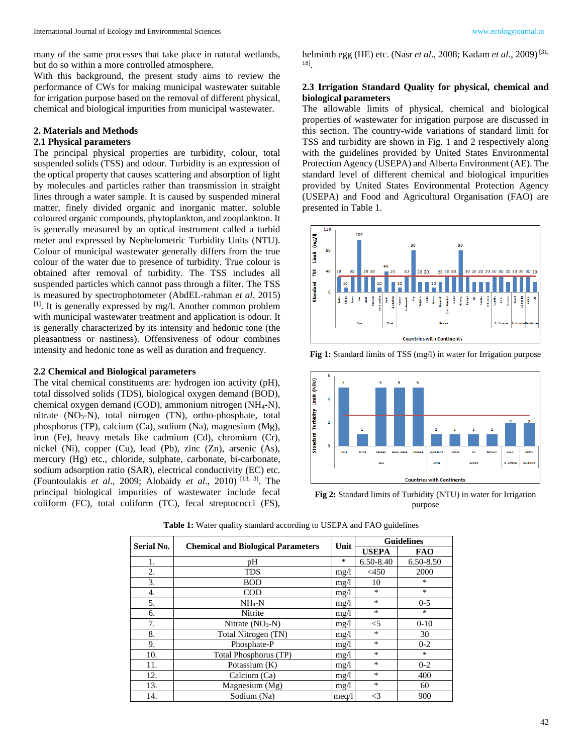many of the same processes that take place in natural wetlands, but do so within a more controlled atmosphere.

With this background, the present study aims to review the performance of CWs for making municipal wastewater suitable for irrigation purpose based on the removal of different physical, chemical and biological impurities from municipal wastewater.

# **2. Materials and Methods**

#### **2.1 Physical parameters**

The principal physical properties are turbidity, colour, total suspended solids (TSS) and odour. Turbidity is an expression of the optical property that causes scattering and absorption of light by molecules and particles rather than transmission in straight lines through a water sample. It is caused by suspended mineral matter, finely divided organic and inorganic matter, soluble coloured organic compounds, phytoplankton, and zooplankton. It is generally measured by an optical instrument called a turbid meter and expressed by Nephelometric Turbidity Units (NTU). Colour of municipal wastewater generally differs from the true colour of the water due to presence of turbidity. True colour is obtained after removal of turbidity. The TSS includes all suspended particles which cannot pass through a filter. The TSS is measured by spectrophotometer (AbdEL-rahman *et al*. 2015) [1]. It is generally expressed by mg/l. Another common problem with municipal wastewater treatment and application is odour. It is generally characterized by its intensity and hedonic tone (the pleasantness or nastiness). Offensiveness of odour combines intensity and hedonic tone as well as duration and frequency.

## **2.2 Chemical and Biological parameters**

The vital chemical constituents are: hydrogen ion activity (pH), total dissolved solids (TDS), biological oxygen demand (BOD), chemical oxygen demand (COD), ammonium nitrogen (NH4-N), nitrate (NO<sub>3</sub>-N), total nitrogen (TN), ortho-phosphate, total phosphorus (TP), calcium (Ca), sodium (Na), magnesium (Mg), iron (Fe), heavy metals like cadmium (Cd), chromium (Cr), nickel (Ni), copper (Cu), lead (Pb), zinc (Zn), arsenic (As), mercury (Hg) etc., chloride, sulphate, carbonate, bi-carbonate, sodium adsorption ratio (SAR), electrical conductivity (EC) etc. (Fountoulakis *et al*., 2009; Alobaidy *et al*., 2010) [13, 3]. The principal biological impurities of wastewater include fecal coliform (FC), total coliform (TC), fecal streptococci (FS),

helminth egg (HE) etc. (Nasr *et al*., 2008; Kadam *et al*., 2009)[31, 18] .

## **2.3 Irrigation Standard Quality for physical, chemical and biological parameters**

The allowable limits of physical, chemical and biological properties of wastewater for irrigation purpose are discussed in this section. The country-wide variations of standard limit for TSS and turbidity are shown in Fig. 1 and 2 respectively along with the guidelines provided by United States Environmental Protection Agency (USEPA) and Alberta Environment (AE). The standard level of different chemical and biological impurities provided by United States Environmental Protection Agency (USEPA) and Food and Agricultural Organisation (FAO) are presented in Table 1.





**Fig 1:** Standard limits of TSS (mg/l) in water for Irrigation purpose

**Fig 2:** Standard limits of Turbidity (NTU) in water for Irrigation purpose

| Serial No. |                                           | Unit  | <b>Guidelines</b> |               |  |
|------------|-------------------------------------------|-------|-------------------|---------------|--|
|            | <b>Chemical and Biological Parameters</b> |       | <b>USEPA</b>      | <b>FAO</b>    |  |
| 1.         | pН                                        | *     | $6.50 - 8.40$     | $6.50 - 8.50$ |  |
| 2.         | <b>TDS</b>                                | mg/1  | $<$ 450           | 2000          |  |
| 3.         | <b>BOD</b>                                | mg/1  | 10                | $\ast$        |  |
| 4.         | <b>COD</b>                                | mg/1  | $\ast$            | $\ast$        |  |
| 5.         | $NH_{4}-N$                                | mg/1  | $\ast$            | $0 - 5$       |  |
| 6.         | Nitrite                                   | mg/1  | $\ast$            | $\ast$        |  |
| 7.         | Nitrate $(NO3-N)$                         | mg/1  | $<$ 5             | $0-10$        |  |
| 8.         | Total Nitrogen (TN)                       | mg/1  | $\ast$            | 30            |  |
| 9.         | Phosphate-P                               | mg/1  | $\ast$            | $0 - 2$       |  |
| 10.        | Total Phosphorus (TP)                     | mg/1  | $\ast$            | $\ast$        |  |
| 11.        | Potassium $(K)$                           | mg/1  | $\ast$            | $0 - 2$       |  |
| 12.        | Calcium (Ca)                              | mg/1  | $\ast$            | 400           |  |
| 13.        | Magnesium $(Mg)$                          | mg/l  | $\ast$            | 60            |  |
| 14.        | Sodium (Na)                               | meq/l | $\leq$ 3          | 900           |  |

**Table 1:** Water quality standard according to USEPA and FAO guidelines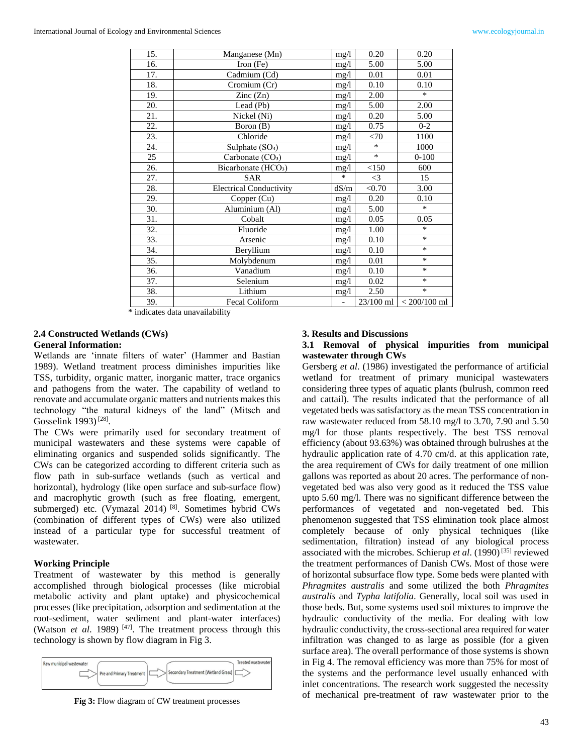| 15. | Manganese (Mn)                  | mg/l   | 0.20      | 0.20           |
|-----|---------------------------------|--------|-----------|----------------|
| 16. | Iron $(Fe)$                     | mg/l   | 5.00      | 5.00           |
| 17. | Cadmium (Cd)                    | mg/l   | 0.01      | 0.01           |
| 18. | $\overline{C$ romium $(Cr)$     | 0.10   | 0.10      |                |
| 19. | $\text{Zinc}(\text{Zn})$        | mg/l   | 2.00      | $\ast$         |
| 20. | Lead (Pb)                       | mg/l   | 5.00      | 2.00           |
| 21. | Nickel (Ni)                     | mg/l   | 0.20      | 5.00           |
| 22. | Boron (B)                       | mg/1   | 0.75      | $0 - 2$        |
| 23. | Chloride                        | mg/l   | <70       | 1100           |
| 24. | Sulphate (SO <sub>4</sub> )     | mg/1   | $\ast$    | 1000           |
| 25  | Carbonate (CO <sub>3</sub> )    | mg/1   | $\ast$    | $0 - 100$      |
| 26. | Bicarbonate (HCO <sub>3</sub> ) | mg/l   | <150      | 600            |
| 27. | <b>SAR</b>                      | $\ast$ | $\leq$ 3  | 15             |
| 28. | <b>Electrical Conductivity</b>  | dS/m   | < 0.70    | 3.00           |
| 29. | Copper $(Cu)$                   | mg/1   | 0.20      | 0.10           |
| 30. | Aluminium (Al)                  | mg/1   | 5.00      | $\ast$         |
| 31. | Cobalt                          | mg/l   | 0.05      | 0.05           |
| 32. | Fluoride                        | mg/1   | 1.00      | $\ast$         |
| 33. | Arsenic                         | mg/1   | 0.10      | $\ast$         |
| 34. | Beryllium                       | mg/1   | 0.10      | $\ast$         |
| 35. | Molybdenum                      | mg/l   | 0.01      | $\ast$         |
| 36. | Vanadium                        | mg/1   | 0.10      | $\ast$         |
| 37. | Selenium                        | mg/1   | 0.02      | $\ast$         |
| 38. | Lithium                         | mg/1   | 2.50      | $\ast$         |
| 39. | Fecal Coliform                  |        | 23/100 ml | $< 200/100$ ml |

\* indicates data unavailability

#### **2.4 Constructed Wetlands (CWs) General Information:**

Wetlands are 'innate filters of water' (Hammer and Bastian 1989). Wetland treatment process diminishes impurities like TSS, turbidity, organic matter, inorganic matter, trace organics and pathogens from the water. The capability of wetland to renovate and accumulate organic matters and nutrients makes this technology "the natural kidneys of the land" (Mitsch and Gosselink 1993)<sup>[28]</sup>.

The CWs were primarily used for secondary treatment of municipal wastewaters and these systems were capable of eliminating organics and suspended solids significantly. The CWs can be categorized according to different criteria such as flow path in sub-surface wetlands (such as vertical and horizontal), hydrology (like open surface and sub-surface flow) and macrophytic growth (such as free floating, emergent, submerged) etc. (Vymazal 2014) <sup>[8]</sup>. Sometimes hybrid CWs (combination of different types of CWs) were also utilized instead of a particular type for successful treatment of wastewater.

#### **Working Principle**

Treatment of wastewater by this method is generally accomplished through biological processes (like microbial metabolic activity and plant uptake) and physicochemical processes (like precipitation, adsorption and sedimentation at the root-sediment, water sediment and plant-water interfaces) (Watson *et al.* 1989)<sup>[47]</sup>. The treatment process through this technology is shown by flow diagram in Fig 3.



**Fig 3:** Flow diagram of CW treatment processes

#### **3. Results and Discussions**

## **3.1 Removal of physical impurities from municipal wastewater through CWs**

Gersberg *et al*. (1986) investigated the performance of artificial wetland for treatment of primary municipal wastewaters considering three types of aquatic plants (bulrush, common reed and cattail). The results indicated that the performance of all vegetated beds was satisfactory as the mean TSS concentration in raw wastewater reduced from 58.10 mg/l to 3.70, 7.90 and 5.50 mg/l for those plants respectively. The best TSS removal efficiency (about 93.63%) was obtained through bulrushes at the hydraulic application rate of 4.70 cm/d. at this application rate, the area requirement of CWs for daily treatment of one million gallons was reported as about 20 acres. The performance of nonvegetated bed was also very good as it reduced the TSS value upto 5.60 mg/l. There was no significant difference between the performances of vegetated and non-vegetated bed. This phenomenon suggested that TSS elimination took place almost completely because of only physical techniques (like sedimentation, filtration) instead of any biological process associated with the microbes. Schierup *et al.* (1990)<sup>[35]</sup> reviewed the treatment performances of Danish CWs. Most of those were of horizontal subsurface flow type. Some beds were planted with *Phragmites australis* and some utilized the both *Phragmites australis* and *Typha latifolia*. Generally, local soil was used in those beds. But, some systems used soil mixtures to improve the hydraulic conductivity of the media. For dealing with low hydraulic conductivity, the cross-sectional area required for water infiltration was changed to as large as possible (for a given surface area). The overall performance of those systems is shown in Fig 4. The removal efficiency was more than 75% for most of the systems and the performance level usually enhanced with inlet concentrations. The research work suggested the necessity of mechanical pre-treatment of raw wastewater prior to the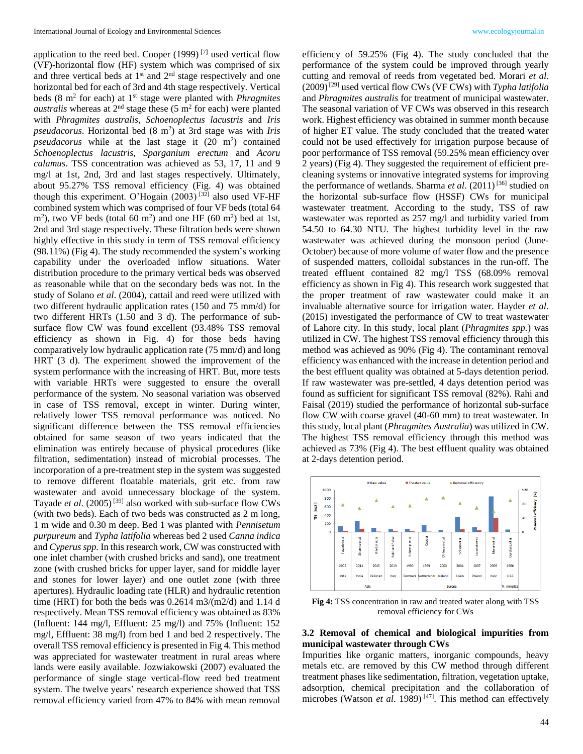application to the reed bed. Cooper  $(1999)$ <sup>[7]</sup> used vertical flow (VF)-horizontal flow (HF) system which was comprised of six and three vertical beds at  $1<sup>st</sup>$  and  $2<sup>nd</sup>$  stage respectively and one horizontal bed for each of 3rd and 4th stage respectively. Vertical beds (8 m<sup>2</sup> for each) at 1<sup>st</sup> stage were planted with *Phragmites australis* whereas at  $2<sup>nd</sup>$  stage these (5  $m<sup>2</sup>$  for each) were planted with *Phragmites australis*, *Schoenoplectus lacustris* and *Iris pseudacorus*. Horizontal bed (8 m<sup>2</sup> ) at 3rd stage was with *Iris* pseudacorus while at the last stage it (20 m<sup>2</sup>) contained *Schoenoplectus lacustris*, *Sparganium erectum* and *Acoru calamus*. TSS concentration was achieved as 53, 17, 11 and 9 mg/l at 1st, 2nd, 3rd and last stages respectively. Ultimately, about 95.27% TSS removal efficiency (Fig. 4) was obtained though this experiment. O'Hogain (2003)  $[3\overline{2}]$  also used VF-HF combined system which was comprised of four VF beds (total 64  $\text{m}^2$ ), two VF beds (total 60 m<sup>2</sup>) and one HF (60 m<sup>2</sup>) bed at 1st, 2nd and 3rd stage respectively. These filtration beds were shown highly effective in this study in term of TSS removal efficiency (98.11%) (Fig 4). The study recommended the system's working capability under the overloaded inflow situations. Water distribution procedure to the primary vertical beds was observed as reasonable while that on the secondary beds was not. In the study of Solano *et al*. (2004), cattail and reed were utilized with two different hydraulic application rates (150 and 75 mm/d) for two different HRTs (1.50 and 3 d). The performance of subsurface flow CW was found excellent (93.48% TSS removal efficiency as shown in Fig. 4) for those beds having comparatively low hydraulic application rate (75 mm/d) and long HRT (3 d). The experiment showed the improvement of the system performance with the increasing of HRT. But, more tests with variable HRTs were suggested to ensure the overall performance of the system. No seasonal variation was observed in case of TSS removal, except in winter. During winter, relatively lower TSS removal performance was noticed. No significant difference between the TSS removal efficiencies obtained for same season of two years indicated that the elimination was entirely because of physical procedures (like filtration, sedimentation) instead of microbial processes. The incorporation of a pre-treatment step in the system was suggested to remove different floatable materials, grit etc. from raw wastewater and avoid unnecessary blockage of the system. Tayade *et al*. (2005) [39] also worked with sub-surface flow CWs (with two beds). Each of two beds was constructed as 2 m long, 1 m wide and 0.30 m deep. Bed 1 was planted with *Pennisetum purpureum* and *Typha latifolia* whereas bed 2 used *Canna indica* and *Cyperus spp.* In this research work, CW was constructed with one inlet chamber (with crushed bricks and sand), one treatment zone (with crushed bricks for upper layer, sand for middle layer and stones for lower layer) and one outlet zone (with three apertures). Hydraulic loading rate (HLR) and hydraulic retention time (HRT) for both the beds was 0.2614 m3/(m2/d) and 1.14 d respectively. Mean TSS removal efficiency was obtained as 83% (Influent: 144 mg/l, Effluent: 25 mg/l) and 75% (Influent: 152 mg/l, Effluent: 38 mg/l) from bed 1 and bed 2 respectively. The overall TSS removal efficiency is presented in Fig 4. This method was appreciated for wastewater treatment in rural areas where lands were easily available. Jozwiakowski (2007) evaluated the performance of single stage vertical-flow reed bed treatment system. The twelve years' research experience showed that TSS removal efficiency varied from 47% to 84% with mean removal

efficiency of 59.25% (Fig 4). The study concluded that the performance of the system could be improved through yearly cutting and removal of reeds from vegetated bed. Morari *et al*. (2009)[29] used vertical flow CWs (VF CWs) with *Typha latifolia* and *Phragmites australis* for treatment of municipal wastewater. The seasonal variation of VF CWs was observed in this research work. Highest efficiency was obtained in summer month because of higher ET value. The study concluded that the treated water could not be used effectively for irrigation purpose because of poor performance of TSS removal (59.25% mean efficiency over 2 years) (Fig 4). They suggested the requirement of efficient precleaning systems or innovative integrated systems for improving the performance of wetlands. Sharma *et al*. (2011) [36] studied on the horizontal sub-surface flow (HSSF) CWs for municipal wastewater treatment. According to the study, TSS of raw wastewater was reported as 257 mg/l and turbidity varied from 54.50 to 64.30 NTU. The highest turbidity level in the raw wastewater was achieved during the monsoon period (June-October) because of more volume of water flow and the presence of suspended matters, colloidal substances in the run-off. The treated effluent contained 82 mg/l TSS (68.09% removal efficiency as shown in Fig 4). This research work suggested that the proper treatment of raw wastewater could make it an invaluable alternative source for irrigation water. Hayder *et al*. (2015) investigated the performance of CW to treat wastewater of Lahore city. In this study, local plant (*Phragmites spp.*) was utilized in CW. The highest TSS removal efficiency through this method was achieved as 90% (Fig 4). The contaminant removal efficiency was enhanced with the increase in detention period and the best effluent quality was obtained at 5-days detention period. If raw wastewater was pre-settled, 4 days detention period was found as sufficient for significant TSS removal (82%). Rahi and Faisal (2019) studied the performance of horizontal sub-surface flow CW with coarse gravel (40-60 mm) to treat wastewater. In this study, local plant (*Phragmites Australia*) was utilized in CW. The highest TSS removal efficiency through this method was achieved as 73% (Fig 4). The best effluent quality was obtained at 2-days detention period.



**Fig 4:** TSS concentration in raw and treated water along with TSS removal efficiency for CWs

## **3.2 Removal of chemical and biological impurities from municipal wastewater through CWs**

Impurities like organic matters, inorganic compounds, heavy metals etc. are removed by this CW method through different treatment phases like sedimentation, filtration, vegetation uptake, adsorption, chemical precipitation and the collaboration of microbes (Watson *et al.* 1989)<sup>[47]</sup>. This method can effectively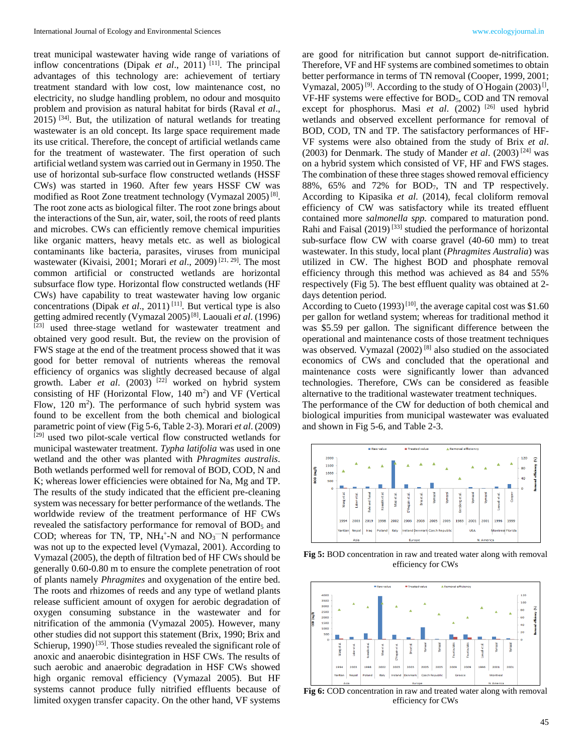treat municipal wastewater having wide range of variations of inflow concentrations (Dipak *et al*., 2011) [11]. The principal advantages of this technology are: achievement of tertiary treatment standard with low cost, low maintenance cost, no electricity, no sludge handling problem, no odour and mosquito problem and provision as natural habitat for birds (Raval *et al*.,  $2015$ ) <sup>[34]</sup>. But, the utilization of natural wetlands for treating wastewater is an old concept. Its large space requirement made its use critical. Therefore, the concept of artificial wetlands came for the treatment of wastewater. The first operation of such artificial wetland system was carried out in Germany in 1950. The use of horizontal sub-surface flow constructed wetlands (HSSF CWs) was started in 1960. After few years HSSF CW was modified as Root Zone treatment technology (Vymazal 2005)<sup>[8]</sup>. The root zone acts as biological filter. The root zone brings about the interactions of the Sun, air, water, soil, the roots of reed plants and microbes. CWs can efficiently remove chemical impurities like organic matters, heavy metals etc. as well as biological contaminants like bacteria, parasites, viruses from municipal wastewater (Kivaisi, 2001; Morari et al., 2009)<sup>[21, 29]</sup>. The most common artificial or constructed wetlands are horizontal subsurface flow type. Horizontal flow constructed wetlands (HF CWs) have capability to treat wastewater having low organic concentrations (Dipak *et al.*, 2011)<sup>[11]</sup>. But vertical type is also getting admired recently (Vymazal 2005)[8]. Laouali *et al*. (1996) [23] used three-stage wetland for wastewater treatment and obtained very good result. But, the review on the provision of FWS stage at the end of the treatment process showed that it was good for better removal of nutrients whereas the removal efficiency of organics was slightly decreased because of algal growth. Laber *et al.* (2003) <sup>[22]</sup> worked on hybrid system consisting of HF (Horizontal Flow,  $140 \text{ m}^2$ ) and VF (Vertical Flow,  $120 \text{ m}^2$ ). The performance of such hybrid system was found to be excellent from the both chemical and biological parametric point of view (Fig 5-6, Table 2-3). Morari *et al*. (2009) [29] used two pilot-scale vertical flow constructed wetlands for municipal wastewater treatment. *Typha latifolia* was used in one wetland and the other was planted with *Phragmites australis*. Both wetlands performed well for removal of BOD, COD, N and K; whereas lower efficiencies were obtained for Na, Mg and TP. The results of the study indicated that the efficient pre-cleaning system was necessary for better performance of the wetlands. The worldwide review of the treatment performance of HF CWs revealed the satisfactory performance for removal of BOD<sub>5</sub> and COD; whereas for TN, TP,  $NH_4$ <sup>+</sup>-N and  $NO_3$ <sup>--</sup>N performance was not up to the expected level (Vymazal, 2001). According to Vymazal (2005), the depth of filtration bed of HF CWs should be generally 0.60-0.80 m to ensure the complete penetration of root of plants namely *Phragmites* and oxygenation of the entire bed. The roots and rhizomes of reeds and any type of wetland plants release sufficient amount of oxygen for aerobic degradation of oxygen consuming substance in the wastewater and for nitrification of the ammonia (Vymazal 2005). However, many other studies did not support this statement (Brix, 1990; Brix and Schierup,  $1990$ <sup>[35]</sup>. Those studies revealed the significant role of anoxic and anaerobic disintegration in HSF CWs. The results of such aerobic and anaerobic degradation in HSF CWs showed high organic removal efficiency (Vymazal 2005). But HF systems cannot produce fully nitrified effluents because of limited oxygen transfer capacity. On the other hand, VF systems

are good for nitrification but cannot support de-nitrification. Therefore, VF and HF systems are combined sometimes to obtain better performance in terms of TN removal (Cooper, 1999, 2001; Vymazal, 2005)<sup>[9]</sup>. According to the study of O'Hogain (2003)<sup>[1</sup>, VF-HF systems were effective for BOD<sub>5</sub>, COD and TN removal except for phosphorus. Masi et al. (2002) <sup>[26]</sup> used hybrid wetlands and observed excellent performance for removal of BOD, COD, TN and TP. The satisfactory performances of HF-VF systems were also obtained from the study of Brix *et al*. (2003) for Denmark. The study of Mander *et al.* (2003)<sup>[24]</sup> was on a hybrid system which consisted of VF, HF and FWS stages. The combination of these three stages showed removal efficiency 88%, 65% and 72% for BOD7, TN and TP respectively. According to Kipasika *et al*. (2014), fecal cloliform removal efficiency of CW was satisfactory while its treated effluent contained more *salmonella spp.* compared to maturation pond. Rahi and Faisal (2019)<sup>[33]</sup> studied the performance of horizontal sub-surface flow CW with coarse gravel (40-60 mm) to treat wastewater. In this study, local plant (*Phragmites Australia*) was utilized in CW. The highest BOD and phosphate removal efficiency through this method was achieved as 84 and 55% respectively (Fig 5). The best effluent quality was obtained at 2 days detention period.

According to Cueto  $(1993)^{[10]}$ , the average capital cost was \$1.60 per gallon for wetland system; whereas for traditional method it was \$5.59 per gallon. The significant difference between the operational and maintenance costs of those treatment techniques was observed. Vymazal (2002)<sup>[8]</sup> also studied on the associated economics of CWs and concluded that the operational and maintenance costs were significantly lower than advanced technologies. Therefore, CWs can be considered as feasible alternative to the traditional wastewater treatment techniques.

The performance of the CW for deduction of both chemical and biological impurities from municipal wastewater was evaluated and shown in Fig 5-6, and Table 2-3.



**Fig 5:** BOD concentration in raw and treated water along with removal efficiency for CWs



Fig 6: COD concentration in raw and treated water along with removal efficiency for CWs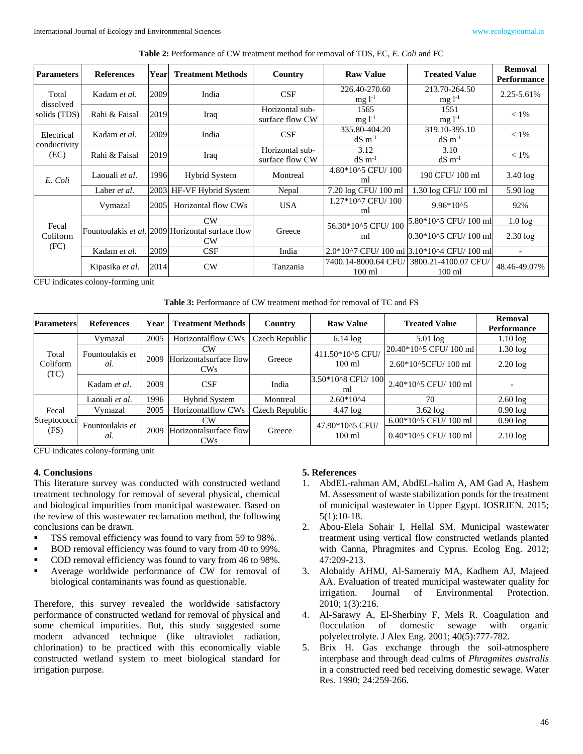| <b>Parameters</b>         | <b>References</b> | Year | <b>Treatment Methods</b>                                         | Country                            | <b>Raw Value</b>                       | <b>Treated Value</b>                     | Removal<br>Performance   |
|---------------------------|-------------------|------|------------------------------------------------------------------|------------------------------------|----------------------------------------|------------------------------------------|--------------------------|
| Total<br>dissolved        | Kadam et al.      | 2009 | India                                                            | CSF                                | 226.40-270.60<br>$mgl^{-1}$            | 213.70-264.50<br>$mgl^{-1}$              | 2.25-5.61%               |
| solids (TDS)              | Rahi & Faisal     | 2019 | Iraq                                                             | Horizontal sub-<br>surface flow CW | 1565<br>$mg 1-1$                       | 1551<br>$mgl^{-1}$                       | $< 1\%$                  |
| Electrical                | Kadam et al.      | 2009 | India                                                            | CSF                                | 335.80-404.20<br>$dS \, \text{m}^{-1}$ | 319.10-395.10<br>$dS \, \text{m}^{-1}$   | $< 1\%$                  |
| conductivity<br>(EC)      | Rahi & Faisal     | 2019 | Iraq                                                             | Horizontal sub-<br>surface flow CW | 3.12<br>$dS \, m^{-1}$                 | 3.10<br>$dS \, \text{m}^{-1}$            | $< 1\%$                  |
| E. Coli                   | Laouali et al.    | 1996 | <b>Hybrid System</b>                                             | Montreal                           | 4.80*10^5 CFU/100<br>ml                | 190 CFU/100 ml                           | $3.40 \log$              |
|                           | Laber et al.      | 2003 | HF-VF Hybrid System                                              | Nepal                              | 7.20 log CFU/100 ml                    | 1.30 log CFU/100 ml                      | $5.90 \log$              |
| Fecal<br>Coliform<br>(FC) | Vymazal           | 2005 | Horizontal flow CWs                                              | <b>USA</b>                         | 1.27*10^7 CFU/100<br>ml                | $9.96*10^{3}5$                           | 92%                      |
|                           |                   |      | CW                                                               | 56.30*10^5 CFU/100                 | 5.80*10^5 CFU/100 ml                   | $1.0 \log$                               |                          |
|                           |                   |      | Fountoulakis et al. 2009 Horizontal surface flow<br>Greece<br>CW | ml                                 | 0.30*10^5 CFU/100 ml                   | $2.30 \log$                              |                          |
|                           | Kadam et al.      | 2009 | CSF                                                              | India                              |                                        | 2.0*10^7 CFU/100 ml 3.10*10^4 CFU/100 ml | $\overline{\phantom{a}}$ |
|                           | Kipasika et al.   | 2014 | CW                                                               | Tanzania                           | 7400.14-8000.64 CFU/<br>$100$ ml       | 3800.21-4100.07 CFU/<br>$100$ ml         | 48.46-49.07%             |

**Table 2:** Performance of CW treatment method for removal of TDS, EC, *E. Coli* and FC

CFU indicates colony-forming unit

**Table 3:** Performance of CW treatment method for removal of TC and FS

| <b>Parameters</b>         | <b>References</b>      | Year | <b>Treatment Methods</b>                   | Country        | <b>Raw Value</b>                     | <b>Treated Value</b>   | Removal<br>Performance |
|---------------------------|------------------------|------|--------------------------------------------|----------------|--------------------------------------|------------------------|------------------------|
| Total<br>Coliform<br>(TC) | Vymazal                | 2005 | Horizontalflow CWs                         | Czech Republic | $6.14 \log$                          | $5.01 \log$            | $1.10 \log$            |
|                           | Fountoulakis et<br>al. | 2009 | CW                                         | Greece         | 411.50*10^5 CFU/<br>$100 \text{ ml}$ | 20.40*10^5 CFU/100 ml  | $1.30 \log$            |
|                           |                        |      | Horizontalsurface flow<br>CW <sub>s</sub>  |                |                                      | 2.60*10^5CFU/100 ml    | $2.20 \log$            |
|                           | Kadam et al.           | 2009 | CSF                                        | India          | 3.50*10^8 CFU/ 100<br>ml             | 2.40*10^5 CFU/100 ml   |                        |
|                           | Laouali <i>et al</i> . | 1996 | <b>Hybrid System</b>                       | Montreal       | $2.60*104$                           | 70                     | $2.60 \log$            |
| Fecal                     | Vymazal                | 2005 | Horizontalflow CWs                         | Czech Republic | $4.47 \log$                          | $3.62 \log$            | $0.90 \log$            |
| Streptococci<br>(FS)      | Fountoulakis et<br>al. | 2009 | CW                                         |                | 47.90*10^5 CFU/<br>$100 \text{ ml}$  | 6.00*10^5 CFU/100 ml   | $0.90 \log$            |
|                           |                        |      | Horizontal surface flow<br>CW <sub>s</sub> | Greece         |                                      | $0.40*105$ CFU/ 100 ml | $2.10 \log$            |

CFU indicates colony-forming unit

# **4. Conclusions**

This literature survey was conducted with constructed wetland treatment technology for removal of several physical, chemical and biological impurities from municipal wastewater. Based on the review of this wastewater reclamation method, the following conclusions can be drawn.

- TSS removal efficiency was found to vary from 59 to 98%.
- BOD removal efficiency was found to vary from 40 to 99%.
- COD removal efficiency was found to vary from 46 to 98%.
- Average worldwide performance of CW for removal of biological contaminants was found as questionable.

Therefore, this survey revealed the worldwide satisfactory performance of constructed wetland for removal of physical and some chemical impurities. But, this study suggested some modern advanced technique (like ultraviolet radiation, chlorination) to be practiced with this economically viable constructed wetland system to meet biological standard for irrigation purpose.

## **5. References**

- 1. AbdEL-rahman AM, AbdEL-halim A, AM Gad A, Hashem M. Assessment of waste stabilization ponds for the treatment of municipal wastewater in Upper Egypt. IOSRJEN. 2015; 5(1):10-18.
- 2. Abou-Elela Sohair I, Hellal SM. Municipal wastewater treatment using vertical flow constructed wetlands planted with Canna, Phragmites and Cyprus. Ecolog Eng. 2012; 47:209-213.
- 3. Alobaidy AHMJ, Al-Sameraiy MA, Kadhem AJ, Majeed AA. Evaluation of treated municipal wastewater quality for irrigation. Journal of Environmental Protection. 2010; 1(3):216.
- 4. Al-Sarawy A, El-Sherbiny F, Mels R. Coagulation and flocculation of domestic sewage with organic polyelectrolyte. J Alex Eng. 2001; 40(5):777-782.
- 5. Brix H. Gas exchange through the soil-atmosphere interphase and through dead culms of *Phragmites australis*  in a constructed reed bed receiving domestic sewage. Water Res. 1990; 24:259-266.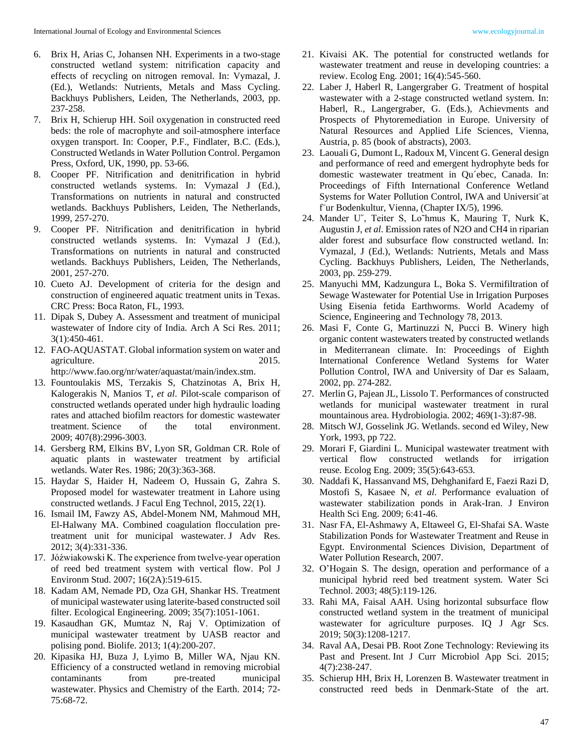- 6. Brix H, Arias C, Johansen NH. Experiments in a two-stage constructed wetland system: nitrification capacity and effects of recycling on nitrogen removal. In: Vymazal, J. (Ed.), Wetlands: Nutrients, Metals and Mass Cycling. Backhuys Publishers, Leiden, The Netherlands, 2003, pp. 237-258.
- 7. Brix H, Schierup HH. Soil oxygenation in constructed reed beds: the role of macrophyte and soil-atmosphere interface oxygen transport. In: Cooper, P.F., Findlater, B.C. (Eds.), Constructed Wetlands in Water Pollution Control. Pergamon Press, Oxford, UK, 1990, pp. 53-66.
- 8. Cooper PF. Nitrification and denitrification in hybrid constructed wetlands systems. In: Vymazal J (Ed.), Transformations on nutrients in natural and constructed wetlands. Backhuys Publishers, Leiden, The Netherlands, 1999, 257-270.
- 9. Cooper PF. Nitrification and denitrification in hybrid constructed wetlands systems. In: Vymazal J (Ed.), Transformations on nutrients in natural and constructed wetlands. Backhuys Publishers, Leiden, The Netherlands, 2001, 257-270.
- 10. Cueto AJ. Development of criteria for the design and construction of engineered aquatic treatment units in Texas. CRC Press: Boca Raton, FL, 1993.
- 11. Dipak S, Dubey A. Assessment and treatment of municipal wastewater of Indore city of India. Arch A Sci Res. 2011; 3(1):450-461.
- 12. FAO-AQUASTAT. Global information system on water and agriculture. 2015. http://www.fao.org/nr/water/aquastat/main/index.stm.
- 13. Fountoulakis MS, Terzakis S, Chatzinotas A, Brix H, Kalogerakis N, Manios T, *et al*. Pilot-scale comparison of constructed wetlands operated under high hydraulic loading rates and attached biofilm reactors for domestic wastewater treatment. Science of the total environment. 2009; 407(8):2996-3003.
- 14. Gersberg RM, Elkins BV, Lyon SR, Goldman CR. Role of aquatic plants in wastewater treatment by artificial wetlands. Water Res. 1986; 20(3):363-368.
- 15. Haydar S, Haider H, Nadeem O, Hussain G, Zahra S. Proposed model for wastewater treatment in Lahore using constructed wetlands. J Facul Eng Technol, 2015, 22(1).
- 16. Ismail IM, Fawzy AS, Abdel-Monem NM, Mahmoud MH, El-Halwany MA. Combined coagulation flocculation pretreatment unit for municipal wastewater. J Adv Res. 2012; 3(4):331-336.
- 17. Jóźwiakowski K. The experience from twelve-year operation of reed bed treatment system with vertical flow. Pol J Environm Stud. 2007; 16(2A):519-615.
- 18. Kadam AM, Nemade PD, Oza GH, Shankar HS. Treatment of municipal wastewater using laterite-based constructed soil filter. Ecological Engineering. 2009; 35(7):1051-1061.
- 19. Kasaudhan GK, Mumtaz N, Raj V. Optimization of municipal wastewater treatment by UASB reactor and polising pond. Biolife. 2013; 1(4):200-207.
- 20. Kipasika HJ, Buza J, Lyimo B, Miller WA, Njau KN. Efficiency of a constructed wetland in removing microbial contaminants from pre-treated municipal wastewater. Physics and Chemistry of the Earth. 2014; 72- 75:68-72.
- 21. Kivaisi AK. The potential for constructed wetlands for wastewater treatment and reuse in developing countries: a review. Ecolog Eng. 2001; 16(4):545-560.
- 22. Laber J, Haberl R, Langergraber G. Treatment of hospital wastewater with a 2-stage constructed wetland system. In: Haberl, R., Langergraber, G. (Eds.), Achievments and Prospects of Phytoremediation in Europe. University of Natural Resources and Applied Life Sciences, Vienna, Austria, p. 85 (book of abstracts), 2003.
- 23. Laouali G, Dumont L, Radoux M, Vincent G. General design and performance of reed and emergent hydrophyte beds for domestic wastewater treatment in Qu´ebec, Canada. In: Proceedings of Fifth International Conference Wetland Systems for Water Pollution Control, IWA and Universit¨at f¨ur Bodenkultur, Vienna, (Chapter IX/5), 1996.
- 24. Mander U˝, Teiter S, Lo˜hmus K, Mauring T, Nurk K, Augustin J, *et al*. Emission rates of N2O and CH4 in riparian alder forest and subsurface flow constructed wetland. In: Vymazal, J (Ed.), Wetlands: Nutrients, Metals and Mass Cycling. Backhuys Publishers, Leiden, The Netherlands, 2003, pp. 259-279.
- 25. Manyuchi MM, Kadzungura L, Boka S. Vermifiltration of Sewage Wastewater for Potential Use in Irrigation Purposes Using Eisenia fetida Earthworms. World Academy of Science, Engineering and Technology 78, 2013.
- 26. Masi F, Conte G, Martinuzzi N, Pucci B. Winery high organic content wastewaters treated by constructed wetlands in Mediterranean climate. In: Proceedings of Eighth International Conference Wetland Systems for Water Pollution Control, IWA and University of Dar es Salaam, 2002, pp. 274-282.
- 27. Merlin G, Pajean JL, Lissolo T. Performances of constructed wetlands for municipal wastewater treatment in rural mountainous area. Hydrobiologia. 2002; 469(1-3):87-98.
- 28. Mitsch WJ, Gosselink JG. Wetlands. second ed Wiley, New York, 1993, pp 722.
- 29. Morari F, Giardini L. Municipal wastewater treatment with vertical flow constructed wetlands for irrigation reuse. Ecolog Eng. 2009; 35(5):643-653.
- 30. Naddafi K, Hassanvand MS, Dehghanifard E, Faezi Razi D, Mostofi S, Kasaee N, *et al*. Performance evaluation of wastewater stabilization ponds in Arak-Iran. J Environ Health Sci Eng. 2009; 6:41-46.
- 31. Nasr FA, El-Ashmawy A, Eltaweel G, El-Shafai SA. Waste Stabilization Ponds for Wastewater Treatment and Reuse in Egypt. Environmental Sciences Division, Department of Water Pollution Research, 2007.
- 32. O'Hogain S. The design, operation and performance of a municipal hybrid reed bed treatment system. Water Sci Technol. 2003; 48(5):119-126.
- 33. Rahi MA, Faisal AAH. Using horizontal subsurface flow constructed wetland system in the treatment of municipal wastewater for agriculture purposes. IQ J Agr Scs. 2019; 50(3):1208-1217.
- 34. Raval AA, Desai PB. Root Zone Technology: Reviewing its Past and Present. Int J Curr Microbiol App Sci. 2015; 4(7):238-247.
- 35. Schierup HH, Brix H, Lorenzen B. Wastewater treatment in constructed reed beds in Denmark-State of the art.